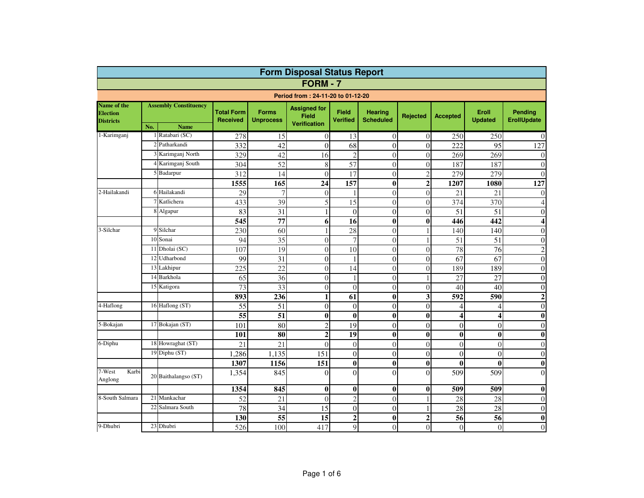| <b>Form Disposal Status Report</b>                 |                              |                      |                                      |                                  |                                                            |                          |                                    |                 |                         |                         |                               |  |  |  |
|----------------------------------------------------|------------------------------|----------------------|--------------------------------------|----------------------------------|------------------------------------------------------------|--------------------------|------------------------------------|-----------------|-------------------------|-------------------------|-------------------------------|--|--|--|
|                                                    |                              |                      |                                      |                                  | <b>FORM - 7</b>                                            |                          |                                    |                 |                         |                         |                               |  |  |  |
| Period from: 24-11-20 to 01-12-20                  |                              |                      |                                      |                                  |                                                            |                          |                                    |                 |                         |                         |                               |  |  |  |
| Name of the<br><b>Election</b><br><b>Districts</b> | <b>Assembly Constituency</b> |                      | <b>Total Form</b><br><b>Received</b> | <b>Forms</b><br><b>Unprocess</b> | <b>Assigned for</b><br><b>Field</b><br><b>Verification</b> | <b>Field</b><br>Verified | <b>Hearing</b><br><b>Scheduled</b> | <b>Rejected</b> | <b>Accepted</b>         | Eroll<br><b>Updated</b> | Pending<br><b>ErollUpdate</b> |  |  |  |
|                                                    | No.                          | <b>Name</b>          |                                      |                                  |                                                            |                          |                                    |                 |                         |                         |                               |  |  |  |
| 1-Karimganj                                        |                              | 1 Ratabari (SC)      | 278                                  | 15                               | 0                                                          | 13                       | $\overline{0}$                     | $\Omega$        | 250                     | 250                     | $\Omega$                      |  |  |  |
|                                                    |                              | Patharkandi          | 332                                  | 42                               | $\theta$                                                   | 68                       | $\theta$                           | $\theta$        | 222                     | 95                      | 127                           |  |  |  |
|                                                    |                              | Karimganj North      | 329                                  | 42                               | 16                                                         | $\overline{c}$           | $\overline{0}$                     | $\overline{0}$  | 269                     | 269                     | $\theta$                      |  |  |  |
|                                                    |                              | Karimganj South      | 304                                  | $\overline{52}$                  | 8                                                          | 57                       | $\theta$                           | $\Omega$        | 187                     | 187                     | $\theta$                      |  |  |  |
|                                                    |                              | Badarpur             | 312                                  | 14                               | $\theta$                                                   | 17                       | $\theta$                           | $\overline{2}$  | 279                     | 279                     | $\Omega$                      |  |  |  |
|                                                    |                              |                      | 1555                                 | 165                              | $\overline{24}$                                            | 157                      | $\bf{0}$                           | $\overline{2}$  | 1207                    | 1080                    | $\overline{127}$              |  |  |  |
| 2-Hailakandi                                       |                              | 6 Hailakandi         | 29                                   | 7                                | $\overline{0}$                                             |                          | $\theta$                           | $\theta$        | 21                      | 21                      | $\Omega$                      |  |  |  |
|                                                    |                              | 7 Katlichera         | 433                                  | 39                               | 5                                                          | 15                       | $\Omega$                           | $\theta$        | 374                     | 370                     | 4                             |  |  |  |
|                                                    |                              | Algapur              | 83                                   | $\overline{31}$                  | $\mathbf{1}$                                               | $\overline{0}$           | $\theta$                           | $\theta$        | $\overline{51}$         | $\overline{51}$         | $\theta$                      |  |  |  |
|                                                    |                              |                      | $\overline{545}$                     | 77                               | 6                                                          | 16                       | $\bf{0}$                           | $\bf{0}$        | 446                     | 442                     | 4                             |  |  |  |
| 3-Silchar                                          | 9                            | Silchar              | 230                                  | 60                               |                                                            | 28                       | $\Omega$                           |                 | 140                     | 140                     | $\overline{0}$                |  |  |  |
|                                                    | 10                           | Sonai                | 94                                   | 35                               | $\overline{0}$                                             | $\overline{7}$           | $\theta$                           |                 | 51                      | 51                      | $\overline{0}$                |  |  |  |
|                                                    | 11                           | Dholai (SC)          | 107                                  | 19                               | $\boldsymbol{0}$                                           | 10                       | $\overline{0}$                     | $\overline{0}$  | 78                      | 76                      | $\overline{c}$                |  |  |  |
|                                                    | 12                           | Udharbond            | 99                                   | 31                               | $\overline{0}$                                             | 1                        | $\Omega$                           | $\theta$        | 67                      | 67                      | $\overline{0}$                |  |  |  |
|                                                    | 13                           | Lakhipur             | 225                                  | 22                               | $\overline{0}$                                             | 14                       | $\theta$                           | $\theta$        | 189                     | 189                     | $\theta$                      |  |  |  |
|                                                    |                              | 14 Barkhola          | 65                                   | 36                               | $\boldsymbol{0}$                                           | 1                        | $\overline{0}$                     |                 | 27                      | 27                      | $\boldsymbol{0}$              |  |  |  |
|                                                    |                              | 15 Katigora          | 73                                   | 33                               | $\overline{0}$                                             | $\Omega$                 | $\theta$                           | $\Omega$        | 40                      | 40                      | $\overline{0}$                |  |  |  |
|                                                    |                              |                      | 893                                  | 236                              | $\mathbf{1}$                                               | 61                       | $\bf{0}$                           | 3               | 592                     | 590                     | $\overline{2}$                |  |  |  |
| 4-Haflong                                          |                              | 16 Haflong (ST)      | 55                                   | 51                               | $\theta$                                                   | $\Omega$                 | $\theta$                           | $\theta$        | $\overline{4}$          | 4                       | $\overline{0}$                |  |  |  |
|                                                    |                              |                      | $\overline{55}$                      | $\overline{51}$                  | $\bf{0}$                                                   | $\bf{0}$                 | $\bf{0}$                           | $\bf{0}$        | $\overline{\mathbf{4}}$ | 4                       | $\bf{0}$                      |  |  |  |
| 5-Bokajan                                          |                              | 17 Bokajan (ST)      | 101                                  | $\overline{80}$                  | $\overline{c}$                                             | 19                       | $\theta$                           | $\theta$        | $\overline{0}$          | $\theta$                | $\theta$                      |  |  |  |
|                                                    |                              |                      | 101                                  | 80                               | $\overline{2}$                                             | 19                       | $\bf{0}$                           | $\bf{0}$        | $\bf{0}$                | $\bf{0}$                | $\bf{0}$                      |  |  |  |
| 6-Diphu                                            |                              | 18 Howraghat (ST)    | 21                                   | 21                               | $\theta$                                                   | $\Omega$                 | $\Omega$                           | $\theta$        | $\overline{0}$          | $\theta$                | $\theta$                      |  |  |  |
|                                                    |                              | 19 Diphu (ST)        | 1,286                                | 1,135                            | 151                                                        | $\Omega$                 | $\theta$                           | $\theta$        | $\overline{0}$          | $\theta$                | $\overline{0}$                |  |  |  |
|                                                    |                              |                      | 1307                                 | 1156                             | 151                                                        | $\boldsymbol{0}$         | $\bf{0}$                           | $\bf{0}$        | $\bf{0}$                | $\bf{0}$                | $\bf{0}$                      |  |  |  |
| 7-West<br>Karbi<br>Anglong                         |                              | 20 Baithalangso (ST) | 1,354                                | 845                              | $\theta$                                                   | $\Omega$                 | $\theta$                           | $\theta$        | 509                     | 509                     | $\theta$                      |  |  |  |
|                                                    |                              |                      | 1354                                 | 845                              | $\bf{0}$                                                   | $\bf{0}$                 | $\bf{0}$                           | $\bf{0}$        | 509                     | 509                     | $\bf{0}$                      |  |  |  |
| 8-South Salmara                                    | 21                           | Mankachar            | 52                                   | 21                               | $\theta$                                                   | $\overline{c}$           | $\theta$                           |                 | 28                      | 28                      | $\theta$                      |  |  |  |
|                                                    | 22                           | Salmara South        | 78                                   | 34                               | 15                                                         | $\Omega$                 | $\Omega$                           |                 | 28                      | 28                      | $\overline{0}$                |  |  |  |
|                                                    |                              |                      | 130                                  | 55                               | 15                                                         | $\overline{2}$           | $\bf{0}$                           | $\overline{2}$  | 56                      | 56                      | $\bf{0}$                      |  |  |  |
| 9-Dhubri                                           | 23                           | Dhubri               | 526                                  | 100                              | 417                                                        | $\mathbf Q$              | $\theta$                           | $\Omega$        | $\overline{0}$          | $\theta$                | $\theta$                      |  |  |  |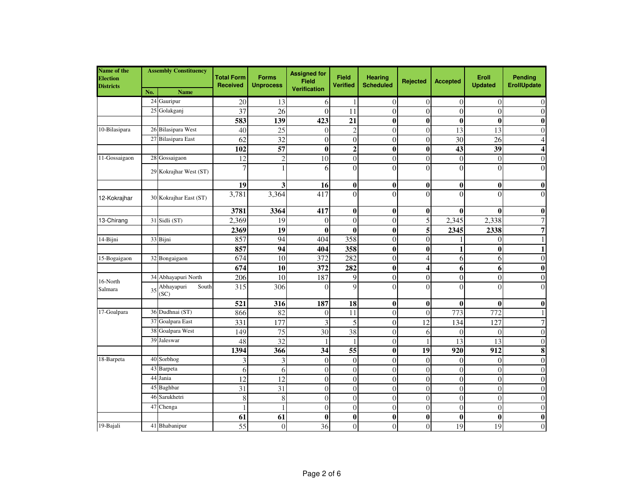| Name of the<br><b>Election</b><br><b>Districts</b> |     | <b>Assembly Constituency</b> | <b>Total Form</b><br><b>Received</b> | <b>Forms</b><br><b>Unprocess</b> | <b>Assigned for</b><br><b>Field</b><br><b>Verification</b> | <b>Field</b><br><b>Verified</b> | <b>Hearing</b><br><b>Scheduled</b> | <b>Rejected</b> | Accepted        | Eroll<br><b>Updated</b> | Pending<br><b>ErollUpdate</b> |
|----------------------------------------------------|-----|------------------------------|--------------------------------------|----------------------------------|------------------------------------------------------------|---------------------------------|------------------------------------|-----------------|-----------------|-------------------------|-------------------------------|
|                                                    | No. | <b>Name</b><br>24 Gauripur   | 20                                   | 13                               | 6                                                          |                                 | $\theta$                           | $\overline{0}$  | $\overline{0}$  | $\overline{0}$          | $\overline{0}$                |
|                                                    | 25  | Golakganj                    | 37                                   | 26                               | $\theta$                                                   | 11                              | $\overline{0}$                     | $\overline{0}$  | $\overline{0}$  | $\theta$                | $\mathbf{0}$                  |
|                                                    |     |                              | 583                                  | 139                              | 423                                                        | 21                              | $\bf{0}$                           | $\bf{0}$        | $\bf{0}$        | $\boldsymbol{0}$        | $\boldsymbol{0}$              |
| 10-Bilasipara                                      |     | 26 Bilasipara West           | 40                                   | 25                               | $\overline{0}$                                             | $\overline{2}$                  | $\overline{0}$                     | $\mathbf{0}$    | 13              | 13                      | $\theta$                      |
|                                                    | 27  | <b>Bilasipara</b> East       | 62                                   | 32                               | $\boldsymbol{0}$                                           | $\Omega$                        | $\overline{0}$                     | $\overline{0}$  | 30              | 26                      | $\overline{4}$                |
|                                                    |     |                              | 102                                  | $\overline{57}$                  | $\bf{0}$                                                   | $\mathbf{2}$                    | $\bf{0}$                           | $\bf{0}$        | $\overline{43}$ | $\overline{39}$         | $\overline{\mathbf{4}}$       |
| 11-Gossaigaon                                      |     | 28 Gossaigaon                | 12                                   | $\overline{c}$                   | 10                                                         | $\overline{0}$                  | $\overline{0}$                     | $\overline{0}$  | $\overline{0}$  | $\theta$                | $\overline{0}$                |
|                                                    |     | 29 Kokrajhar West (ST)       | 7                                    |                                  | 6                                                          | $\theta$                        | $\Omega$                           | $\overline{0}$  | $\theta$        | $\theta$                | $\overline{0}$                |
|                                                    |     |                              | 19                                   | 3                                | 16                                                         | $\bf{0}$                        | $\bf{0}$                           | $\bf{0}$        | $\bf{0}$        | $\bf{0}$                | $\boldsymbol{0}$              |
| 12-Kokrajhar                                       |     | 30 Kokrajhar East (ST)       | 3,781                                | 3,364                            | 417                                                        | $\Omega$                        | $\Omega$                           | $\overline{0}$  | $\theta$        | $\Omega$                | $\mathbf{0}$                  |
|                                                    |     |                              | 3781                                 | 3364                             | 417                                                        | $\bf{0}$                        | $\bf{0}$                           | 0               | $\bf{0}$        | $\bf{0}$                | $\boldsymbol{0}$              |
| 13-Chirang                                         | 31  | Sidli (ST)                   | 2,369                                | 19                               | $\theta$                                                   | $\theta$                        | $\overline{0}$                     | 5               | 2,345           | 2,338                   | $\overline{7}$                |
|                                                    |     |                              | 2369                                 | 19                               | $\bf{0}$                                                   | $\bf{0}$                        | $\bf{0}$                           | 5               | 2345            | 2338                    | $\overline{7}$                |
| 14-Bijni                                           |     | 33 Bijni                     | 857                                  | 94                               | 404                                                        | 358                             | $\theta$                           | $\theta$        |                 | $\theta$                | $\mathbf{1}$                  |
|                                                    |     |                              | 857                                  | 94                               | 404                                                        | 358                             | $\bf{0}$                           | $\bf{0}$        | 1               | $\bf{0}$                | $\mathbf{1}$                  |
| 15-Bogaigaon                                       |     | 32 Bongaigaon                | 674                                  | 10                               | 372                                                        | 282                             | $\overline{0}$                     | $\overline{4}$  | 6               | 6                       | $\boldsymbol{0}$              |
|                                                    |     |                              | 674                                  | 10                               | 372                                                        | 282                             | $\bf{0}$                           | 4               | 6               | 6                       | $\boldsymbol{0}$              |
| 16-North                                           | 34  | Abhayapuri North             | 206                                  | 10                               | 187                                                        | 9                               | $\overline{0}$                     | $\overline{0}$  | $\overline{0}$  | $\overline{0}$          | $\boldsymbol{0}$              |
| Salmara                                            | 35  | Abhayapuri<br>South<br>SC)   | 315                                  | 306                              | $\Omega$                                                   | $\mathbf Q$                     | $\Omega$                           | $\Omega$        | $\Omega$        | $\Omega$                | $\overline{0}$                |
|                                                    |     |                              | 521                                  | 316                              | 187                                                        | 18                              | $\bf{0}$                           | $\bf{0}$        | $\bf{0}$        | $\bf{0}$                | $\boldsymbol{0}$              |
| 17-Goalpara                                        | 36  | Dudhnai (ST)                 | 866                                  | 82                               | $\overline{0}$                                             | 11                              | $\overline{0}$                     | $\overline{0}$  | 773             | 772                     | $\mathbf{1}$                  |
|                                                    |     | 37 Goalpara East             | 331                                  | 177                              | 3                                                          | 5                               | $\overline{0}$                     | 12              | 134             | 127                     | $\sqrt{ }$                    |
|                                                    | 38  | Goalpara West                | 149                                  | 75                               | 30                                                         | 38                              | $\theta$                           | 6               | $\theta$        | $\Omega$                | $\overline{0}$                |
|                                                    | 39  | Jaleswar                     | 48                                   | $\overline{32}$                  |                                                            |                                 | $\overline{0}$                     |                 | 13              | 13                      | $\boldsymbol{0}$              |
|                                                    |     |                              | 1394                                 | 366                              | 34                                                         | $\overline{55}$                 | $\bf{0}$                           | 19              | 920             | 912                     | $\bf{8}$                      |
| 18-Barpeta                                         | 40  | Sorbhog                      | 3                                    | 3                                | $\overline{0}$                                             | $\theta$                        | $\theta$                           | $\Omega$        | $\theta$        | $\theta$                | $\mathbf{0}$                  |
|                                                    | 43  | Barpeta                      | 6                                    | 6                                | $\boldsymbol{0}$                                           | $\overline{0}$                  | $\overline{0}$                     | $\overline{0}$  | $\overline{0}$  | $\overline{0}$          | $\boldsymbol{0}$              |
|                                                    | 44  | Jania                        | $\overline{12}$                      | 12                               | $\boldsymbol{0}$                                           | $\overline{0}$                  | $\overline{0}$                     | $\overline{0}$  | $\overline{0}$  | $\overline{0}$          | $\boldsymbol{0}$              |
|                                                    | 45  | Baghbar                      | 31                                   | 31                               | $\boldsymbol{0}$                                           | $\theta$                        | $\overline{0}$                     | $\overline{0}$  | $\overline{0}$  | $\overline{0}$          | $\theta$                      |
|                                                    | 46  | Sarukhetri                   | 8                                    | 8                                | $\overline{0}$                                             | $\theta$                        | $\overline{0}$                     | $\overline{0}$  | $\overline{0}$  | $\overline{0}$          | $\theta$                      |
|                                                    | 47  | Chenga                       | 1                                    | 1                                | $\boldsymbol{0}$                                           | $\theta$                        | $\theta$                           | $\overline{0}$  | $\theta$        | $\theta$                | $\overline{0}$                |
|                                                    |     |                              | 61                                   | 61                               | $\bf{0}$                                                   | $\bf{0}$                        | $\boldsymbol{0}$                   | $\bf{0}$        | $\bf{0}$        | $\bf{0}$                | $\overline{\mathbf{0}}$       |
| 19-Bajali                                          |     | 41 Bhabanipur                | $\overline{55}$                      | $\overline{0}$                   | 36                                                         | $\Omega$                        | $\theta$                           | $\overline{0}$  | $\overline{19}$ | 19                      | $\overline{0}$                |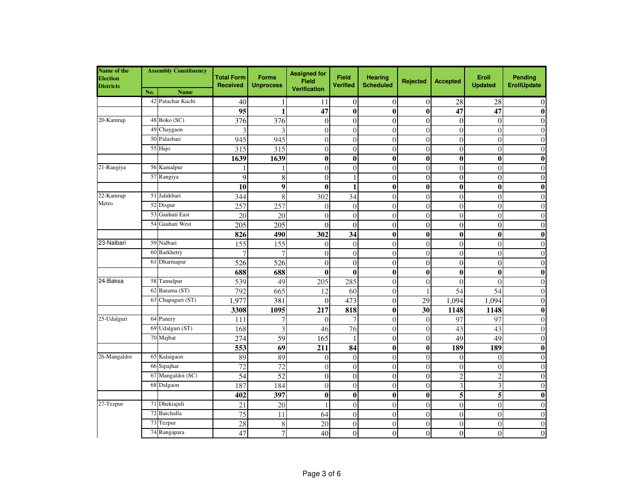| Name of the<br><b>Election</b><br><b>Districts</b> | <b>Assembly Constituency</b> |                               | <b>Total Form</b><br><b>Received</b> | <b>Forms</b><br><b>Unprocess</b> | <b>Assigned for</b><br>Field<br><b>Verification</b> | <b>Field</b><br><b>Verified</b> | <b>Hearing</b><br><b>Scheduled</b> | Rejected       | <b>Accepted</b>         | Eroll<br><b>Updated</b> | Pending<br><b>ErollUpdate</b> |
|----------------------------------------------------|------------------------------|-------------------------------|--------------------------------------|----------------------------------|-----------------------------------------------------|---------------------------------|------------------------------------|----------------|-------------------------|-------------------------|-------------------------------|
|                                                    | No.<br>42                    | <b>Name</b><br>Patachar Kuchi |                                      |                                  |                                                     |                                 |                                    |                |                         |                         |                               |
|                                                    |                              |                               | 40                                   |                                  | 11                                                  | $\Omega$                        | $\Omega$                           | $\overline{0}$ | 28                      | 28                      | $\overline{0}$                |
| 20-Kamrup                                          |                              | 48 Boko (SC)                  | 95                                   | 1                                | 47                                                  | $\bf{0}$                        | $\bf{0}$                           | $\bf{0}$       | 47                      | 47                      | $\bf{0}$                      |
|                                                    |                              |                               | 376                                  | 376                              | $\boldsymbol{0}$                                    | $\overline{0}$                  | $\theta$                           | $\overline{0}$ | $\overline{0}$          | $\overline{0}$          | $\boldsymbol{0}$              |
|                                                    | 49                           | Chaygaon                      | 3                                    | 3                                | $\overline{0}$                                      | $\overline{0}$                  | $\overline{0}$                     | $\overline{0}$ | $\overline{0}$          | $\overline{0}$          | $\boldsymbol{0}$              |
|                                                    |                              | 50 Palasbari                  | 945                                  | 945                              | $\overline{0}$                                      | $\theta$                        | $\overline{0}$                     | $\overline{0}$ | $\overline{0}$          | $\theta$                | $\theta$                      |
|                                                    |                              | 55 Hajo                       | 315                                  | 315                              | $\overline{0}$                                      | $\Omega$                        | $\theta$                           | $\overline{0}$ | $\overline{0}$          | $\theta$                | $\overline{0}$                |
|                                                    |                              |                               | 1639                                 | 1639                             | $\bf{0}$                                            | $\bf{0}$                        | $\boldsymbol{0}$                   | $\bf{0}$       | $\boldsymbol{0}$        | $\boldsymbol{0}$        | $\overline{\mathbf{0}}$       |
| $\overline{21}$ -Rangiya                           |                              | 56 Kamalpur                   |                                      |                                  | $\boldsymbol{0}$                                    | $\theta$                        | $\theta$                           | $\theta$       | $\theta$                | $\theta$                | $\theta$                      |
|                                                    |                              | 57 Rangiya                    | 9                                    | 8                                | $\overline{0}$                                      |                                 | $\overline{0}$                     | $\overline{0}$ | $\overline{0}$          | $\overline{0}$          | $\boldsymbol{0}$              |
|                                                    |                              |                               | $\overline{10}$                      | $\overline{9}$                   | $\boldsymbol{0}$                                    |                                 | $\boldsymbol{0}$                   | $\bf{0}$       | $\bf{0}$                | $\bf{0}$                | $\boldsymbol{0}$              |
| 22-Kamrup<br>Metro                                 |                              | 51 Jalukbari                  | 344                                  | 8                                | 302                                                 | $\overline{34}$                 | $\overline{0}$                     | $\overline{0}$ | $\overline{0}$          | $\overline{0}$          | $\mathbf{0}$                  |
|                                                    | 52                           | Dispur                        | 257                                  | 257                              | $\overline{0}$                                      | $\Omega$                        | $\overline{0}$                     | $\overline{0}$ | $\overline{0}$          | $\theta$                | $\boldsymbol{0}$              |
|                                                    | 53                           | Gauhati East                  | 20                                   | 20                               | $\theta$                                            | $\Omega$                        | $\theta$                           | $\theta$       | $\theta$                | $\theta$                | $\overline{0}$                |
|                                                    | 54                           | Gauhati West                  | 205                                  | 205                              | $\overline{0}$                                      | $\theta$                        | $\overline{0}$                     | $\overline{0}$ | $\overline{0}$          | $\overline{0}$          | $\boldsymbol{0}$              |
|                                                    |                              |                               | 826                                  | 490                              | 302                                                 | 34                              | $\bf{0}$                           | $\bf{0}$       | $\bf{0}$                | $\bf{0}$                | $\boldsymbol{0}$              |
| 23-Nalbari                                         |                              | 59 Nalbari                    | 155                                  | 155                              | $\overline{0}$                                      | $\theta$                        | $\overline{0}$                     | $\overline{0}$ | $\overline{0}$          | $\theta$                | $\mathbf{0}$                  |
|                                                    | 60                           | Barkhetry                     | 7                                    | $\overline{7}$                   | $\boldsymbol{0}$                                    | $\overline{0}$                  | $\overline{0}$                     | $\overline{0}$ | $\overline{0}$          | $\overline{0}$          | $\boldsymbol{0}$              |
|                                                    | 61                           | Dharmapur                     | 526                                  | 526                              | $\theta$                                            | $\Omega$                        | $\theta$                           | $\theta$       | $\theta$                | $\theta$                | $\boldsymbol{0}$              |
|                                                    |                              |                               | 688                                  | 688                              | $\boldsymbol{0}$                                    | 0                               | $\bf{0}$                           | $\bf{0}$       | $\bf{0}$                | $\bf{0}$                | $\boldsymbol{0}$              |
| 24-Baksa                                           |                              | 58 Tamulpur                   | 539                                  | 49                               | 205                                                 | 285                             | $\theta$                           | $\overline{0}$ | $\theta$                | $\Omega$                | $\overline{0}$                |
|                                                    | 62                           | Barama (ST)                   | 792                                  | 665                              | 12                                                  | 60                              | $\boldsymbol{0}$                   | 1              | 54                      | 54                      | $\mathbf{0}$                  |
|                                                    |                              | 63 Chapaguri (ST)             | 1,977                                | 381                              | $\theta$                                            | 473                             | $\boldsymbol{0}$                   | 29             | 1,094                   | 1,094                   | $\overline{0}$                |
|                                                    |                              |                               | 3308                                 | 1095                             | 217                                                 | 818                             | $\bf{0}$                           | 30             | 1148                    | 1148                    | $\bf{0}$                      |
| 25-Udalguri                                        |                              | 64 Panery                     | 111                                  | 7                                | $\theta$                                            |                                 | $\theta$                           | $\mathbf{0}$   | 97                      | 97                      | $\theta$                      |
|                                                    | 69                           | Udalguri (ST)                 | 168                                  | 3                                | 46                                                  | 76                              | $\theta$                           | $\theta$       | 43                      | 43                      | $\overline{0}$                |
|                                                    |                              | 70 Majbat                     | 274                                  | 59                               | 165                                                 |                                 | $\overline{0}$                     | $\overline{0}$ | 49                      | 49                      | $\overline{0}$                |
|                                                    |                              |                               | 553                                  | 69                               | 211                                                 | 84                              | $\bf{0}$                           | $\bf{0}$       | 189                     | 189                     | $\boldsymbol{0}$              |
| 26-Mangaldoi                                       |                              | 65 Kalaigaon                  | 89                                   | 89                               | $\overline{0}$                                      | $\overline{0}$                  | $\overline{0}$                     | $\overline{0}$ | $\overline{0}$          | $\overline{0}$          | $\boldsymbol{0}$              |
|                                                    | 66                           | Sipajhar                      | 72                                   | 72                               | $\overline{0}$                                      | $\Omega$                        | $\theta$                           | $\overline{0}$ | $\theta$                | $\theta$                | $\theta$                      |
|                                                    | 67                           | Mangaldoi (SC)                | 54                                   | $\overline{52}$                  | $\boldsymbol{0}$                                    | $\theta$                        | $\overline{0}$                     | $\overline{0}$ | $\overline{c}$          | $\overline{c}$          | $\overline{0}$                |
|                                                    | 68                           | Dalgaon                       | 187                                  | 184                              | $\overline{0}$                                      | $\theta$                        | $\boldsymbol{0}$                   | $\overline{0}$ | $\overline{\mathbf{3}}$ | 3                       | $\boldsymbol{0}$              |
|                                                    |                              |                               | 402                                  | 397                              | $\bf{0}$                                            | $\bf{0}$                        | $\bf{0}$                           | $\bf{0}$       | 5                       | 5                       | $\boldsymbol{0}$              |
| 27-Tezpur                                          | 71                           | Dhekiajuli                    | 21                                   | 20                               |                                                     | $\theta$                        | $\overline{0}$                     | $\overline{0}$ | $\overline{0}$          | $\overline{0}$          | $\boldsymbol{0}$              |
|                                                    | 72                           | Barchalla                     | $\overline{75}$                      | 11                               | 64                                                  | $\theta$                        | $\overline{0}$                     | $\overline{0}$ | $\overline{0}$          | $\overline{0}$          | $\overline{0}$                |
|                                                    | 73                           | Tezpur                        | 28                                   | 8                                | 20                                                  | $\theta$                        | $\theta$                           | $\overline{0}$ | $\Omega$                | $\theta$                | $\theta$                      |
|                                                    |                              | 74 Rangapara                  | 47                                   | 7                                | 40                                                  | $\Omega$                        | $\overline{0}$                     | $\overline{0}$ | $\overline{0}$          | $\theta$                | $\overline{0}$                |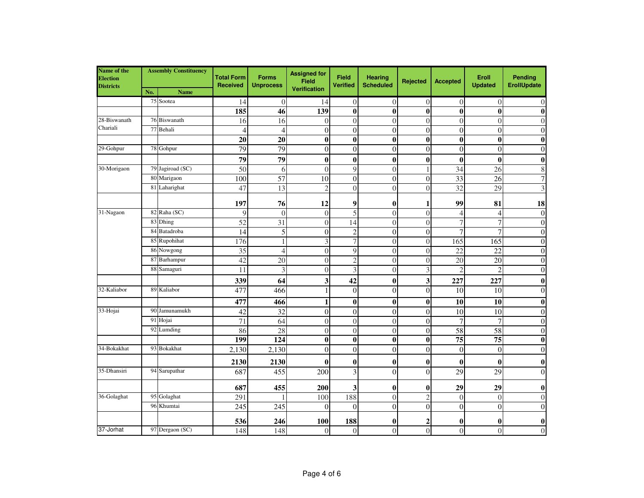| Name of the<br>Election<br><b>Districts</b> | <b>Assembly Constituency</b> |                  | <b>Total Form</b><br><b>Received</b> | <b>Forms</b><br><b>Unprocess</b> | <b>Assigned for</b><br><b>Field</b><br><b>Verification</b> | <b>Field</b><br><b>Verified</b> | <b>Hearing</b><br><b>Scheduled</b> | Rejected         | <b>Accepted</b>  | Eroll<br><b>Updated</b> | Pending<br>ErollUpdate  |
|---------------------------------------------|------------------------------|------------------|--------------------------------------|----------------------------------|------------------------------------------------------------|---------------------------------|------------------------------------|------------------|------------------|-------------------------|-------------------------|
|                                             | No.                          | <b>Name</b>      |                                      |                                  |                                                            |                                 |                                    |                  |                  |                         |                         |
|                                             | 75                           | Sootea           | 14                                   | $\overline{0}$                   | 14                                                         | $\theta$                        | $\boldsymbol{0}$                   | $\boldsymbol{0}$ | $\mathbf{0}$     | $\overline{0}$          | $\boldsymbol{0}$        |
|                                             |                              |                  | 185                                  | 46                               | 139                                                        | $\bf{0}$                        | $\bf{0}$                           | $\bf{0}$         | $\bf{0}$         | $\bf{0}$                | $\boldsymbol{0}$        |
| 28-Biswanath<br>Chariali                    | 76                           | Biswanath        | 16                                   | 16                               | $\overline{0}$                                             | $\Omega$                        | $\boldsymbol{0}$                   | $\overline{0}$   | $\theta$         | $\theta$                | $\overline{0}$          |
|                                             |                              | 77 Behali        | $\overline{4}$                       | $\overline{4}$                   | $\overline{0}$                                             | $\Omega$                        | $\boldsymbol{0}$                   | $\overline{0}$   | $\theta$         | $\theta$                | $\boldsymbol{0}$        |
| 29-Gohpur                                   |                              | 78 Gohpur        | $\overline{20}$                      | $\overline{20}$                  | $\bf{0}$                                                   | $\bf{0}$                        | $\bf{0}$                           | $\bf{0}$         | $\bf{0}$         | $\boldsymbol{0}$        | $\bf{0}$                |
|                                             |                              |                  | 79                                   | 79                               | $\boldsymbol{0}$                                           | $\theta$                        | $\boldsymbol{0}$                   | $\mathbf{0}$     | $\boldsymbol{0}$ | $\theta$                | $\boldsymbol{0}$        |
|                                             |                              |                  | 79                                   | 79                               | $\bf{0}$                                                   | $\bf{0}$                        | $\bf{0}$                           | $\bf{0}$         | $\bf{0}$         | $\boldsymbol{0}$        | $\bf{0}$                |
| 30-Morigaon                                 |                              | 79 Jagiroad (SC) | 50                                   | 6                                | $\overline{0}$                                             | $\mathbf Q$                     | $\overline{0}$                     | 1                | 34               | 26                      | $\,$ 8 $\,$             |
|                                             | 80                           | Marigaon         | 100                                  | $\overline{57}$                  | 10                                                         | $\theta$                        | $\overline{0}$                     | $\mathbf{0}$     | 33               | 26                      | $\boldsymbol{7}$        |
|                                             |                              | 81 Laharighat    | 47                                   | 13                               | $\overline{2}$                                             | $\Omega$                        | $\boldsymbol{0}$                   | $\overline{0}$   | 32               | 29                      | 3                       |
|                                             |                              |                  | 197                                  | 76                               | 12                                                         | 9                               | $\boldsymbol{0}$                   | 1                | 99               | 81                      | 18                      |
| 31-Nagaon                                   |                              | 82 Raha (SC)     | 9                                    | $\theta$                         | $\theta$                                                   | $\overline{5}$                  | $\theta$                           | $\theta$         | $\overline{4}$   | 4                       | $\boldsymbol{0}$        |
|                                             | 83                           | Dhing            | 52                                   | 31                               | $\boldsymbol{0}$                                           | 14                              | $\boldsymbol{0}$                   | $\overline{0}$   | $\overline{7}$   | $\overline{7}$          | $\boldsymbol{0}$        |
|                                             | 84                           | Batadroba        | 14                                   | 5                                | $\boldsymbol{0}$                                           | $\overline{c}$                  | $\boldsymbol{0}$                   | $\overline{0}$   | $\overline{7}$   | 7                       | $\boldsymbol{0}$        |
|                                             | 85                           | Rupohihat        | 176                                  | 1                                | $\overline{3}$                                             | $\overline{7}$                  | $\boldsymbol{0}$                   | $\overline{0}$   | 165              | 165                     | $\boldsymbol{0}$        |
|                                             | 86                           | Nowgong          | 35                                   | $\overline{4}$                   | $\overline{0}$                                             | $\mathbf Q$                     | $\overline{0}$                     | $\overline{0}$   | 22               | 22                      | $\boldsymbol{0}$        |
|                                             | 87                           | Barhampur        | 42                                   | 20                               | $\overline{0}$                                             | $\overline{c}$                  | $\boldsymbol{0}$                   | $\overline{0}$   | 20               | 20                      | $\mathbf{0}$            |
|                                             | 88                           | Samaguri         | 11                                   | 3                                | $\overline{0}$                                             | 3                               | $\boldsymbol{0}$                   | 3                | $\overline{c}$   | $\overline{c}$          | $\mathbf{0}$            |
|                                             |                              |                  | 339                                  | 64                               | $\overline{\mathbf{3}}$                                    | 42                              | $\bf{0}$                           | 3                | 227              | 227                     | $\boldsymbol{0}$        |
| 32-Kaliabor                                 |                              | 89 Kaliabor      | 477                                  | 466                              | 1                                                          | $\theta$                        | $\overline{0}$                     | $\overline{0}$   | 10               | 10                      | $\boldsymbol{0}$        |
|                                             |                              |                  | 477                                  | 466                              | $\mathbf{1}$                                               | $\bf{0}$                        | $\bf{0}$                           | $\bf{0}$         | 10               | $\overline{10}$         | $\overline{\mathbf{0}}$ |
| 33-Hojai                                    | 90                           | Jamunamukh       | 42                                   | 32                               | $\boldsymbol{0}$                                           | $\theta$                        | $\overline{0}$                     | $\overline{0}$   | 10               | 10                      | $\boldsymbol{0}$        |
|                                             | 91                           | Hojai            | 71                                   | 64                               | $\boldsymbol{0}$                                           | $\theta$                        | $\boldsymbol{0}$                   | $\boldsymbol{0}$ | $\overline{7}$   | $\overline{7}$          | $\boldsymbol{0}$        |
|                                             | 92                           | Lumding          | 86                                   | 28                               | $\overline{0}$                                             | $\theta$                        | $\boldsymbol{0}$                   | $\overline{0}$   | 58               | 58                      | $\mathbf{0}$            |
|                                             |                              |                  | 199                                  | 124                              | $\bf{0}$                                                   | $\bf{0}$                        | $\bf{0}$                           | $\bf{0}$         | 75               | 75                      | $\boldsymbol{0}$        |
| 34-Bokakhat                                 |                              | 93 Bokakhat      | 2,130                                | 2,130                            | $\overline{0}$                                             | $\Omega$                        | $\boldsymbol{0}$                   | $\boldsymbol{0}$ | $\overline{0}$   | $\theta$                | $\mathbf{0}$            |
|                                             |                              |                  | 2130                                 | 2130                             | $\bf{0}$                                                   | $\bf{0}$                        | $\boldsymbol{0}$                   | $\bf{0}$         | $\boldsymbol{0}$ | $\boldsymbol{0}$        | $\boldsymbol{0}$        |
| 35-Dhansiri                                 |                              | 94 Sarupathar    | 687                                  | 455                              | 200                                                        | 3                               | $\theta$                           | $\overline{0}$   | 29               | 29                      | $\mathbf{0}$            |
|                                             |                              |                  | 687                                  | 455                              | 200                                                        | 3                               | $\bf{0}$                           | $\bf{0}$         | 29               | 29                      | $\boldsymbol{0}$        |
| 36-Golaghat                                 |                              | 95 Golaghat      | 291                                  |                                  | 100                                                        | 188                             | $\boldsymbol{0}$                   | $\overline{2}$   | $\overline{0}$   | $\overline{0}$          | $\boldsymbol{0}$        |
|                                             |                              | 96 Khumtai       | 245                                  | 245                              | $\theta$                                                   | $\Omega$                        | $\overline{0}$                     | $\mathbf{0}$     | $\overline{0}$   | $\theta$                | $\mathbf{0}$            |
|                                             |                              |                  | 536                                  | 246                              | <b>100</b>                                                 | 188                             | $\bf{0}$                           | $\mathbf{c}$     | $\bf{0}$         | 0                       | $\boldsymbol{0}$        |
| 37-Jorhat                                   |                              | 97 Dergaon (SC)  | 148                                  | 148                              | $\overline{0}$                                             | $\Omega$                        | $\overline{0}$                     | $\overline{0}$   | $\overline{0}$   | $\theta$                | $\mathbf{0}$            |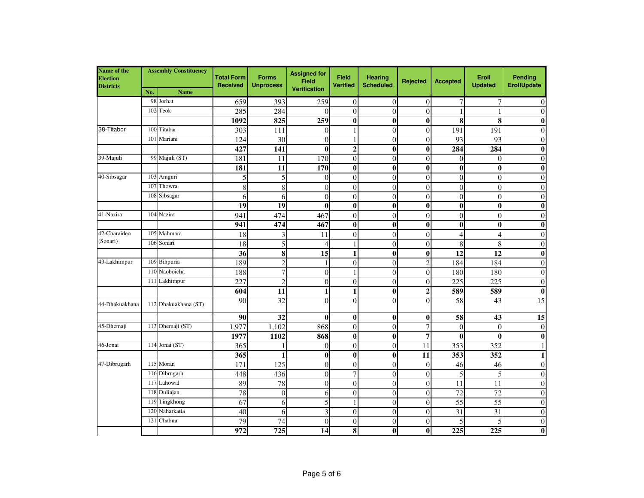| Name of the<br><b>Election</b><br><b>Districts</b> | <b>Assembly Constituency</b> |                      | <b>Total Form</b><br><b>Received</b> | <b>Forms</b><br><b>Unprocess</b> | <b>Assigned for</b><br><b>Field</b><br><b>Verification</b> | Field<br><b>Verified</b> | <b>Hearing</b><br><b>Scheduled</b> | Rejected         | <b>Accepted</b>  | Eroll<br><b>Updated</b> | Pending<br><b>ErollUpdate</b> |
|----------------------------------------------------|------------------------------|----------------------|--------------------------------------|----------------------------------|------------------------------------------------------------|--------------------------|------------------------------------|------------------|------------------|-------------------------|-------------------------------|
|                                                    | No.                          | <b>Name</b>          |                                      |                                  |                                                            |                          |                                    |                  |                  |                         |                               |
|                                                    | 98                           | Jorhat               | 659                                  | 393                              | 259                                                        | $\theta$                 | $\theta$                           | $\overline{0}$   | 7                | 7                       | $\overline{0}$                |
|                                                    | 102                          | Teok                 | 285                                  | 284                              | $\Omega$                                                   | $\Omega$                 | $\boldsymbol{0}$                   | $\overline{0}$   | $\mathbf{1}$     |                         | $\mathbf{0}$                  |
|                                                    |                              |                      | 1092                                 | 825                              | 259                                                        | $\bf{0}$                 | $\bf{0}$                           | $\bf{0}$         | 8                | 8                       | $\boldsymbol{0}$              |
| 38-Titabor                                         | 100                          | Titabar              | 303                                  | 111                              | $\theta$                                                   |                          | $\overline{0}$                     | $\overline{0}$   | 191              | 191                     | $\overline{0}$                |
|                                                    | 101                          | Mariani              | 124                                  | $\overline{30}$                  | $\mathbf{0}$                                               |                          | $\overline{0}$                     | $\boldsymbol{0}$ | 93               | $\overline{93}$         | $\boldsymbol{0}$              |
|                                                    |                              |                      | 427                                  | 141                              | $\bf{0}$                                                   | $\boldsymbol{2}$         | $\bf{0}$                           | $\bf{0}$         | 284              | 284                     | $\boldsymbol{0}$              |
| 39-Majuli                                          |                              | 99 Majuli (ST)       | 181                                  | 11                               | 170                                                        | $\boldsymbol{0}$         | $\overline{0}$                     | $\overline{0}$   | $\overline{0}$   | $\overline{0}$          | $\mathbf{0}$                  |
|                                                    |                              |                      | 181                                  | 11                               | 170                                                        | $\bf{0}$                 | $\bf{0}$                           | $\bf{0}$         | $\bf{0}$         | $\bf{0}$                | $\boldsymbol{0}$              |
| 40-Sibsagar                                        |                              | 103 Amguri           | 5                                    | 5                                | $\theta$                                                   | $\Omega$                 | $\theta$                           | $\overline{0}$   | $\theta$         | $\theta$                | $\overline{0}$                |
|                                                    | 107                          | Thowra               | $\overline{8}$                       | $\overline{8}$                   | $\overline{0}$                                             | $\overline{0}$           | $\boldsymbol{0}$                   | $\overline{0}$   | $\overline{0}$   | $\overline{0}$          | $\overline{0}$                |
|                                                    |                              | 108 Sibsagar         | 6                                    | 6                                | $\overline{0}$                                             | $\Omega$                 | $\overline{0}$                     | $\overline{0}$   | $\overline{0}$   | $\theta$                | $\mathbf{0}$                  |
|                                                    |                              |                      | 19                                   | $\overline{19}$                  | $\boldsymbol{0}$                                           | $\bf{0}$                 | $\bf{0}$                           | $\bf{0}$         | $\bf{0}$         | $\bf{0}$                | $\bf{0}$                      |
| 41-Nazira                                          |                              | 104 Nazira           | 941                                  | 474                              | 467                                                        | $\overline{0}$           | $\overline{0}$                     | $\overline{0}$   | $\overline{0}$   | $\overline{0}$          | $\boldsymbol{0}$              |
|                                                    |                              |                      | 941                                  | 474                              | 467                                                        | $\bf{0}$                 | $\bf{0}$                           | $\bf{0}$         | $\bf{0}$         | $\bf{0}$                | $\boldsymbol{0}$              |
| 42-Charaideo                                       |                              | 105 Mahmara          | 18                                   | 3                                | 11                                                         | $\Omega$                 | $\theta$                           | $\overline{0}$   | $\overline{4}$   | 4                       | $\overline{0}$                |
| (Sonari)                                           | 106                          | Sonari               | 18                                   | 5                                | $\overline{4}$                                             |                          | $\overline{0}$                     | $\overline{0}$   | 8                | 8                       | $\boldsymbol{0}$              |
|                                                    |                              |                      | $\overline{36}$                      | $\overline{\bf 8}$               | $\overline{15}$                                            | $\mathbf{1}$             | $\bf{0}$                           | $\bf{0}$         | $\overline{12}$  | $\overline{12}$         | $\boldsymbol{0}$              |
| 43-Lakhimpur                                       |                              | 109 Bihpuria         | 189                                  | $\overline{c}$                   | 1                                                          | $\theta$                 | $\overline{0}$                     | $\overline{2}$   | 184              | 184                     | $\mathbf{0}$                  |
|                                                    |                              | 110 Naoboicha        | 188                                  | $\overline{7}$                   | $\theta$                                                   |                          | $\theta$                           | $\overline{0}$   | 180              | 180                     | $\theta$                      |
|                                                    |                              | 111 Lakhimpur        | 227                                  | $\overline{2}$                   | $\overline{0}$                                             | $\Omega$                 | $\overline{0}$                     | $\theta$         | 225              | 225                     | $\overline{0}$                |
|                                                    |                              |                      | 604                                  | 11                               | $\mathbf{1}$                                               | 1                        | $\bf{0}$                           | $\overline{2}$   | 589              | 589                     | $\boldsymbol{0}$              |
| 44-Dhakuakhana                                     |                              | 112 Dhakuakhana (ST) | 90                                   | 32                               | $\theta$                                                   | $\Omega$                 | $\Omega$                           | $\theta$         | 58               | 43                      | 15                            |
|                                                    |                              |                      | 90                                   | 32                               | $\bf{0}$                                                   | $\bf{0}$                 | $\bf{0}$                           | $\bf{0}$         | 58               | 43                      | $\overline{15}$               |
| 45-Dhemaji                                         |                              | 113 Dhemaji (ST)     | 1,977                                | 1,102                            | 868                                                        | $\Omega$                 | $\theta$                           | $\overline{7}$   | $\overline{0}$   | $\theta$                | $\boldsymbol{0}$              |
|                                                    |                              |                      | 1977                                 | 1102                             | 868                                                        | $\bf{0}$                 | $\bf{0}$                           | 7                | $\bf{0}$         | $\boldsymbol{0}$        | $\boldsymbol{0}$              |
| 46-Jonai                                           |                              | 114 Jonai (ST)       | 365                                  |                                  | $\theta$                                                   | $\Omega$                 | $\overline{0}$                     | 11               | 353              | 352                     | $\mathbf{1}$                  |
|                                                    |                              |                      | 365                                  | $\mathbf{1}$                     | $\bf{0}$                                                   | $\bf{0}$                 | $\bf{0}$                           | 11               | 353              | 352                     | $\mathbf{1}$                  |
| 47-Dibrugarh                                       |                              | $115$ Moran          | 171                                  | 125                              | $\boldsymbol{0}$                                           | $\Omega$                 | $\boldsymbol{0}$                   | $\overline{0}$   | 46               | 46                      | $\theta$                      |
|                                                    |                              | 116 Dibrugarh        | 448                                  | 436                              | $\overline{0}$                                             | 7                        | $\theta$                           | $\theta$         | 5                | 5                       | $\theta$                      |
|                                                    |                              | 117 Lahowal          | 89                                   | 78                               | $\boldsymbol{0}$                                           | $\overline{0}$           | $\overline{0}$                     | $\overline{0}$   | 11               | 11                      | $\theta$                      |
|                                                    |                              | 118 Duliajan         | 78                                   | $\boldsymbol{0}$                 | 6                                                          | $\Omega$                 | $\theta$                           | $\overline{0}$   | 72               | 72                      | $\theta$                      |
|                                                    |                              | 119 Tingkhong        | 67                                   | 6                                | 5                                                          |                          | $\theta$                           | $\theta$         | $\overline{55}$  | 55                      | $\Omega$                      |
|                                                    |                              | 120 Naharkatia       | 40                                   | 6                                | $\overline{\mathbf{3}}$                                    | $\mathbf{0}$             | $\overline{0}$                     | $\overline{0}$   | 31               | $\overline{31}$         | $\mathbf{0}$                  |
|                                                    | 121                          | Chabua               | 79                                   | 74                               | $\overline{0}$                                             | $\Omega$                 | $\overline{0}$                     | $\overline{0}$   | 5                | 5                       | $\theta$                      |
|                                                    |                              |                      | $\overline{972}$                     | 725                              | 14                                                         | 8                        | $\bf{0}$                           | $\bf{0}$         | $\overline{225}$ | 225                     | $\bf{0}$                      |